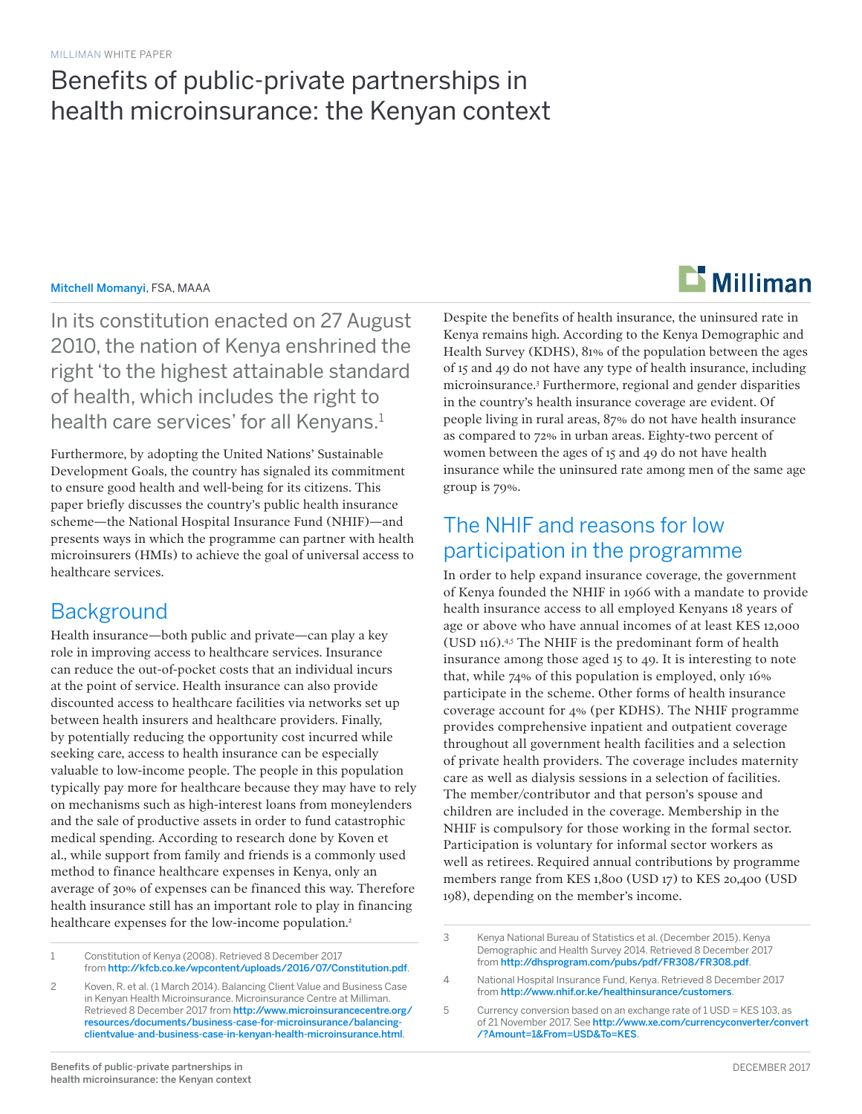## Benefits of public-private partnerships in health microinsurance: the Kenyan context

#### Mitchell Momanyi, FSA, MAAA

In its constitution enacted on 27 August 2010, the nation of Kenya enshrined the right 'to the highest attainable standard of health, which includes the right to health care services' for all Kenyans.<sup>1</sup>

Furthermore, by adopting the United Nations' Sustainable Development Goals, the country has signaled its commitment to ensure good health and well-being for its citizens. This paper briefly discusses the country's public health insurance scheme—the National Hospital Insurance Fund (NHIF)—and presents ways in which the programme can partner with health microinsurers (HMIs) to achieve the goal of universal access to healthcare services.

### **Background**

Health insurance—both public and private—can play a key role in improving access to healthcare services. Insurance can reduce the out-of-pocket costs that an individual incurs at the point of service. Health insurance can also provide discounted access to healthcare facilities via networks set up between health insurers and healthcare providers. Finally, by potentially reducing the opportunity cost incurred while seeking care, access to health insurance can be especially valuable to low-income people. The people in this population typically pay more for healthcare because they may have to rely on mechanisms such as high-interest loans from moneylenders and the sale of productive assets in order to fund catastrophic medical spending. According to research done by Koven et al., while support from family and friends is a commonly used method to finance healthcare expenses in Kenya, only an average of 30% of expenses can be financed this way. Therefore health insurance still has an important role to play in financing healthcare expenses for the low-income population.<sup>2</sup>

1 Constitution of Kenya (2008). Retrieved 8 December 2017 from [http://kfcb.co.ke/wpcontent/uploads/2016/07/Constitution.pdf](http://kfcb.co.ke/wp-content/uploads/2016/07/Constitution.pdf).

2 Koven, R. et al. (1 March 2014). Balancing Client Value and Business Case in Kenyan Health Microinsurance. Microinsurance Centre at Milliman. Retrieved 8 December 2017 from [http://www.microinsurancecentre.org/](http://www.microinsurancecentre.org/resources/documents/business-case-for-microinsurance/balancing-c) [resources/documents/business-case-for-microinsurance/balancing](http://www.microinsurancecentre.org/resources/documents/business-case-for-microinsurance/balancing-c)[clientvalue-and-business-case-in-kenyan-health-microinsurance.html](http://www.microinsurancecentre.org/resources/documents/business-case-for-microinsurance/balancing-c).

Despite the benefits of health insurance, the uninsured rate in Kenya remains high. According to the Kenya Demographic and Health Survey (KDHS), 81% of the population between the ages of 15 and 49 do not have any type of health insurance, including microinsurance.3 Furthermore, regional and gender disparities in the country's health insurance coverage are evident. Of people living in rural areas, 87% do not have health insurance as compared to 72% in urban areas. Eighty-two percent of women between the ages of 15 and 49 do not have health insurance while the uninsured rate among men of the same age group is 79%.

### The NHIF and reasons for low participation in the programme

In order to help expand insurance coverage, the government of Kenya founded the NHIF in 1966 with a mandate to provide health insurance access to all employed Kenyans 18 years of age or above who have annual incomes of at least KES 12,000 (USD 116).4,5 The NHIF is the predominant form of health insurance among those aged 15 to 49. It is interesting to note that, while 74% of this population is employed, only 16% participate in the scheme. Other forms of health insurance coverage account for 4% (per KDHS). The NHIF programme provides comprehensive inpatient and outpatient coverage throughout all government health facilities and a selection of private health providers. The coverage includes maternity care as well as dialysis sessions in a selection of facilities. The member/contributor and that person's spouse and children are included in the coverage. Membership in the NHIF is compulsory for those working in the formal sector. Participation is voluntary for informal sector workers as well as retirees. Required annual contributions by programme members range from KES 1,800 (USD 17) to KES 20,400 (USD 198), depending on the member's income.



<sup>3</sup> Kenya National Bureau of Statistics et al. (December 2015). Kenya Demographic and Health Survey 2014. Retrieved 8 December 2017 from <http://dhsprogram.com/pubs/pdf/FR308/FR308.pdf>.

<sup>4</sup> National Hospital Insurance Fund, Kenya. Retrieved 8 December 2017 from <http://www.nhif.or.ke/healthinsurance/customers>.

<sup>5</sup> Currency conversion based on an exchange rate of 1 USD = KES 103, as of 21 November 2017. See [http://www.xe.com/currencyconverter/convert](http://www.xe.com/currencyconverter/convert/?Amount=1&From=USD&To=KES) [/?Amount=1&From=USD&To=KES](http://www.xe.com/currencyconverter/convert/?Amount=1&From=USD&To=KES).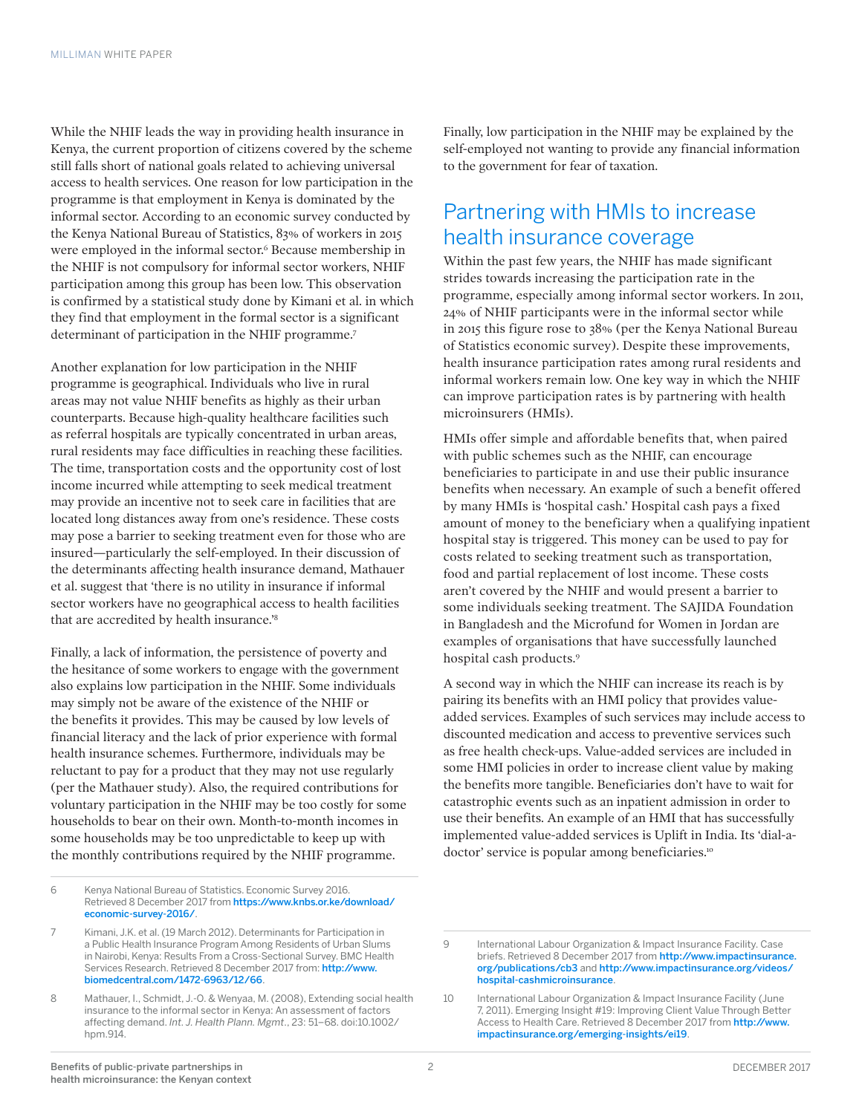While the NHIF leads the way in providing health insurance in Kenya, the current proportion of citizens covered by the scheme still falls short of national goals related to achieving universal access to health services. One reason for low participation in the programme is that employment in Kenya is dominated by the informal sector. According to an economic survey conducted by the Kenya National Bureau of Statistics, 83% of workers in 2015 were employed in the informal sector.<sup>6</sup> Because membership in the NHIF is not compulsory for informal sector workers, NHIF participation among this group has been low. This observation is confirmed by a statistical study done by Kimani et al. in which they find that employment in the formal sector is a significant determinant of participation in the NHIF programme.<sup>7</sup>

Another explanation for low participation in the NHIF programme is geographical. Individuals who live in rural areas may not value NHIF benefits as highly as their urban counterparts. Because high-quality healthcare facilities such as referral hospitals are typically concentrated in urban areas, rural residents may face difficulties in reaching these facilities. The time, transportation costs and the opportunity cost of lost income incurred while attempting to seek medical treatment may provide an incentive not to seek care in facilities that are located long distances away from one's residence. These costs may pose a barrier to seeking treatment even for those who are insured—particularly the self-employed. In their discussion of the determinants affecting health insurance demand, Mathauer et al. suggest that 'there is no utility in insurance if informal sector workers have no geographical access to health facilities that are accredited by health insurance.'8

Finally, a lack of information, the persistence of poverty and the hesitance of some workers to engage with the government also explains low participation in the NHIF. Some individuals may simply not be aware of the existence of the NHIF or the benefits it provides. This may be caused by low levels of financial literacy and the lack of prior experience with formal health insurance schemes. Furthermore, individuals may be reluctant to pay for a product that they may not use regularly (per the Mathauer study). Also, the required contributions for voluntary participation in the NHIF may be too costly for some households to bear on their own. Month-to-month incomes in some households may be too unpredictable to keep up with the monthly contributions required by the NHIF programme.

6 Kenya National Bureau of Statistics. Economic Survey 2016. Retrieved 8 December 2017 from [https://www.knbs.or.ke/download/](https://www.knbs.or.ke/download/economic-survey-2016/) [economic-survey-2016/](https://www.knbs.or.ke/download/economic-survey-2016/).

Finally, low participation in the NHIF may be explained by the self-employed not wanting to provide any financial information to the government for fear of taxation.

### Partnering with HMIs to increase health insurance coverage

Within the past few years, the NHIF has made significant strides towards increasing the participation rate in the programme, especially among informal sector workers. In 2011, 24% of NHIF participants were in the informal sector while in 2015 this figure rose to 38% (per the Kenya National Bureau of Statistics economic survey). Despite these improvements, health insurance participation rates among rural residents and informal workers remain low. One key way in which the NHIF can improve participation rates is by partnering with health microinsurers (HMIs).

HMIs offer simple and affordable benefits that, when paired with public schemes such as the NHIF, can encourage beneficiaries to participate in and use their public insurance benefits when necessary. An example of such a benefit offered by many HMIs is 'hospital cash.' Hospital cash pays a fixed amount of money to the beneficiary when a qualifying inpatient hospital stay is triggered. This money can be used to pay for costs related to seeking treatment such as transportation, food and partial replacement of lost income. These costs aren't covered by the NHIF and would present a barrier to some individuals seeking treatment. The SAJIDA Foundation in Bangladesh and the Microfund for Women in Jordan are examples of organisations that have successfully launched hospital cash products.9

A second way in which the NHIF can increase its reach is by pairing its benefits with an HMI policy that provides valueadded services. Examples of such services may include access to discounted medication and access to preventive services such as free health check-ups. Value-added services are included in some HMI policies in order to increase client value by making the benefits more tangible. Beneficiaries don't have to wait for catastrophic events such as an inpatient admission in order to use their benefits. An example of an HMI that has successfully implemented value-added services is Uplift in India. Its 'dial-adoctor' service is popular among beneficiaries.<sup>10</sup>

<sup>7</sup> Kimani, J.K. et al. (19 March 2012). Determinants for Participation in a Public Health Insurance Program Among Residents of Urban Slums in Nairobi, Kenya: Results From a Cross-Sectional Survey. BMC Health Services Research. Retrieved 8 December 2017 from: [http://www.](http://www.biomedcentral.com/1472-6963/12/66) [biomedcentral.com/1472-6963/12/66](http://www.biomedcentral.com/1472-6963/12/66).

<sup>8</sup> Mathauer, I., Schmidt, J.-O. & Wenyaa, M. (2008), Extending social health insurance to the informal sector in Kenya: An assessment of factors affecting demand. *Int. J. Health Plann. Mgmt*., 23: 51–68. doi:10.1002/ hpm.914.

<sup>9</sup> International Labour Organization & Impact Insurance Facility. Case briefs. Retrieved 8 December 2017 from [http://www.impactinsurance.](http://www.impactinsurance.org/publications/cb3) [org/publications/cb3](http://www.impactinsurance.org/publications/cb3) and [http://www.impactinsurance.org/videos/](http://www.impactinsurance.org/videos/hospital-cash-microinsurance) [hospital-cashmicroinsurance](http://www.impactinsurance.org/videos/hospital-cash-microinsurance).

<sup>10</sup> International Labour Organization & Impact Insurance Facility (June 7, 2011). Emerging Insight #19: Improving Client Value Through Better Access to Health Care. Retrieved 8 December 2017 from [http://www.](http://www.impactinsurance.org/emerging-insights/ei19) [impactinsurance.org/emerging-insights/ei19](http://www.impactinsurance.org/emerging-insights/ei19).